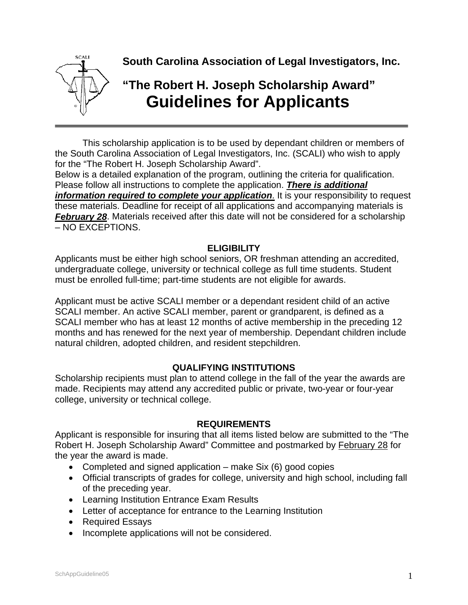

**South Carolina Association of Legal Investigators, Inc.** 

# **"The Robert H. Joseph Scholarship Award" Guidelines for Applicants**

This scholarship application is to be used by dependant children or members of the South Carolina Association of Legal Investigators, Inc. (SCALI) who wish to apply for the "The Robert H. Joseph Scholarship Award".

Below is a detailed explanation of the program, outlining the criteria for qualification. Please follow all instructions to complete the application. *There is additional information required to complete your application*. It is your responsibility to request these materials. Deadline for receipt of all applications and accompanying materials is *February 28.* Materials received after this date will not be considered for a scholarship – NO EXCEPTIONS.

### **ELIGIBILITY**

Applicants must be either high school seniors, OR freshman attending an accredited, undergraduate college, university or technical college as full time students. Student must be enrolled full-time; part-time students are not eligible for awards.

Applicant must be active SCALI member or a dependant resident child of an active SCALI member. An active SCALI member, parent or grandparent, is defined as a SCALI member who has at least 12 months of active membership in the preceding 12 months and has renewed for the next year of membership. Dependant children include natural children, adopted children, and resident stepchildren.

### **QUALIFYING INSTITUTIONS**

Scholarship recipients must plan to attend college in the fall of the year the awards are made. Recipients may attend any accredited public or private, two-year or four-year college, university or technical college.

### **REQUIREMENTS**

Applicant is responsible for insuring that all items listed below are submitted to the "The Robert H. Joseph Scholarship Award" Committee and postmarked by February 28 for the year the award is made.

- Completed and signed application  $-$  make Six (6) good copies
- Official transcripts of grades for college, university and high school, including fall of the preceding year.
- Learning Institution Entrance Exam Results
- Letter of acceptance for entrance to the Learning Institution
- Required Essays
- Incomplete applications will not be considered.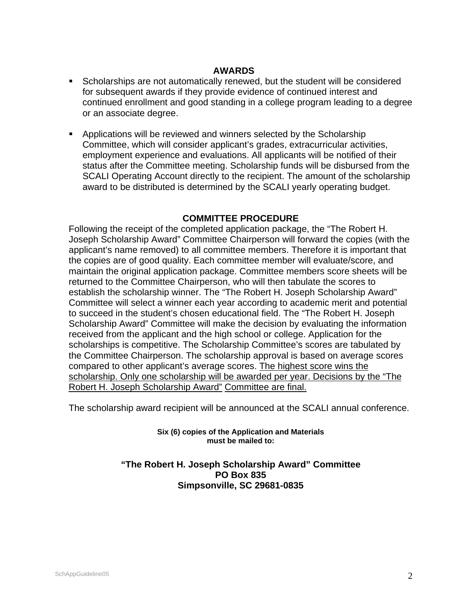#### **AWARDS**

- Scholarships are not automatically renewed, but the student will be considered for subsequent awards if they provide evidence of continued interest and continued enrollment and good standing in a college program leading to a degree or an associate degree.
- **Applications will be reviewed and winners selected by the Scholarship** Committee, which will consider applicant's grades, extracurricular activities, employment experience and evaluations. All applicants will be notified of their status after the Committee meeting. Scholarship funds will be disbursed from the SCALI Operating Account directly to the recipient. The amount of the scholarship award to be distributed is determined by the SCALI yearly operating budget.

#### **COMMITTEE PROCEDURE**

Following the receipt of the completed application package, the "The Robert H. Joseph Scholarship Award" Committee Chairperson will forward the copies (with the applicant's name removed) to all committee members. Therefore it is important that the copies are of good quality. Each committee member will evaluate/score, and maintain the original application package. Committee members score sheets will be returned to the Committee Chairperson, who will then tabulate the scores to establish the scholarship winner. The "The Robert H. Joseph Scholarship Award" Committee will select a winner each year according to academic merit and potential to succeed in the student's chosen educational field. The "The Robert H. Joseph Scholarship Award" Committee will make the decision by evaluating the information received from the applicant and the high school or college. Application for the scholarships is competitive. The Scholarship Committee's scores are tabulated by the Committee Chairperson. The scholarship approval is based on average scores compared to other applicant's average scores. The highest score wins the scholarship. Only one scholarship will be awarded per year. Decisions by the "The Robert H. Joseph Scholarship Award" Committee are final.

The scholarship award recipient will be announced at the SCALI annual conference.

**Six (6) copies of the Application and Materials must be mailed to:** 

#### **"The Robert H. Joseph Scholarship Award" Committee PO Box 835 Simpsonville, SC 29681-0835**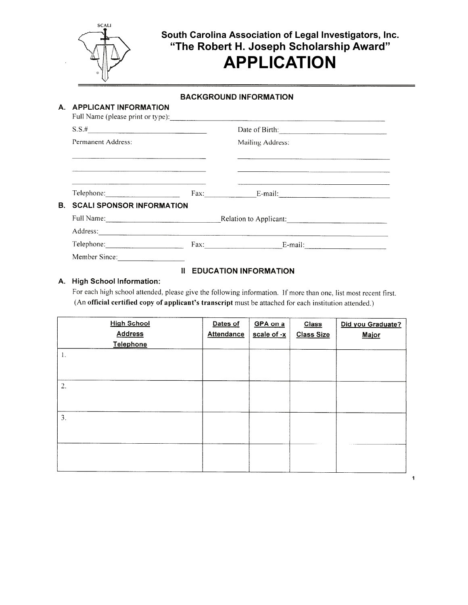

## South Carolina Association of Legal Investigators, Inc. "The Robert H. Joseph Scholarship Award" **APPLICATION**

#### **BACKGROUND INFORMATION**

|  | A. APPLICANT INFORMATION                                                                                        |                                                    |                                                                                                                                                                                                                                |  |  |
|--|-----------------------------------------------------------------------------------------------------------------|----------------------------------------------------|--------------------------------------------------------------------------------------------------------------------------------------------------------------------------------------------------------------------------------|--|--|
|  | $S.S.$ #                                                                                                        |                                                    | Date of Birth:                                                                                                                                                                                                                 |  |  |
|  | Permanent Address:                                                                                              |                                                    | Mailing Address:                                                                                                                                                                                                               |  |  |
|  | the contract of the contract of the contract of the contract of the contract of the contract of the contract of |                                                    | the communication of the communication of the communication of the communication of the communication of the communication of the communication of the communication of the communication of the communication of the communic |  |  |
|  | the contract of the contract of the contract of the contract of the contract of the contract of the contract of |                                                    | <u> 1989 - Johann Barn, amerikansk politiker (d. 1989)</u>                                                                                                                                                                     |  |  |
|  | <b>B. SCALI SPONSOR INFORMATION</b>                                                                             |                                                    |                                                                                                                                                                                                                                |  |  |
|  |                                                                                                                 | Full Name: <u>Cambridge Relation</u> to Applicant: |                                                                                                                                                                                                                                |  |  |
|  |                                                                                                                 |                                                    |                                                                                                                                                                                                                                |  |  |
|  |                                                                                                                 |                                                    | $Fax:$ E-mail:                                                                                                                                                                                                                 |  |  |
|  | Member Since:                                                                                                   |                                                    |                                                                                                                                                                                                                                |  |  |

#### **II EDUCATION INFORMATION**

#### A. High School Information:

For each high school attended, please give the following information. If more than one, list most recent first. (An official certified copy of applicant's transcript must be attached for each institution attended.)

| <b>High School</b><br><b>Address</b> | Dates of<br><b>Attendance</b> | GPA on a<br>scale of -x | <b>Class</b><br><b>Class Size</b> | Did you Graduate?<br>Major |
|--------------------------------------|-------------------------------|-------------------------|-----------------------------------|----------------------------|
| Telephone<br>1.                      |                               |                         |                                   |                            |
| 2.                                   |                               |                         |                                   |                            |
| 3.                                   |                               |                         |                                   |                            |
|                                      |                               |                         |                                   |                            |
|                                      |                               |                         |                                   |                            |

 $\ddot{\phantom{1}}$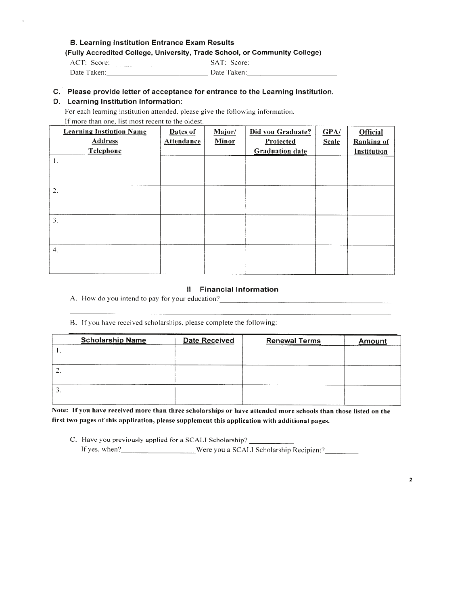#### **B. Learning Institution Entrance Exam Results**

#### (Fully Accredited College, University, Trade School, or Community College)

| ACT: Score: | SAT: Score: |
|-------------|-------------|
| Date Taken: | Date Taken: |

#### C. Please provide letter of acceptance for entrance to the Learning Institution.

#### D. Learning Institution Information:

For each learning institution attended, please give the following information.

If more than one, list most recent to the oldest.

| <b>Learning Instiution Name</b><br><b>Address</b> | Dates of<br><b>Attendance</b> | Major/<br>Minor | Did you Graduate?<br>Projected | GPA/<br><b>Scale</b> | <b>Official</b><br><b>Ranking of</b> |
|---------------------------------------------------|-------------------------------|-----------------|--------------------------------|----------------------|--------------------------------------|
| Telephone                                         |                               |                 | <b>Graduation date</b>         |                      | Institution                          |
| 1.                                                |                               |                 |                                |                      |                                      |
| 2.                                                |                               |                 |                                |                      |                                      |
| 3.                                                |                               |                 |                                |                      |                                      |
| $\boldsymbol{4}$ .                                |                               |                 |                                |                      |                                      |

#### Il Financial Information

A. How do you intend to pay for your education?

B. If you have received scholarships, please complete the following:

| <b>Scholarship Name</b> | <b>Date Received</b> | <b>Renewal Terms</b> | <b>Amount</b> |
|-------------------------|----------------------|----------------------|---------------|
| .                       |                      |                      |               |
|                         |                      |                      |               |
| <u>.</u>                |                      |                      |               |
|                         |                      |                      |               |
| э.                      |                      |                      |               |
|                         |                      |                      |               |

Note: If you have received more than three scholarships or have attended more schools than those listed on the first two pages of this application, please supplement this application with additional pages.

C. Have you previously applied for a SCALI Scholarship? \_ If yes, when? Were you a SCALI Scholarship Recipient?